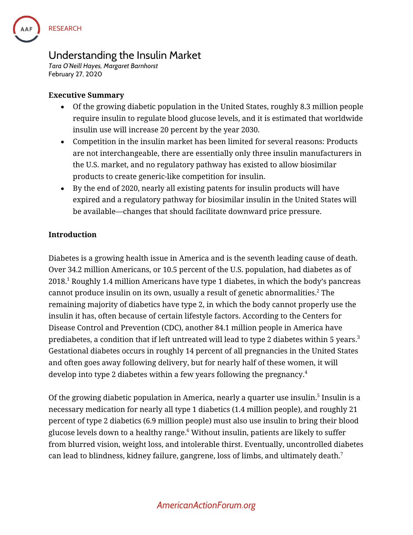

# **Understanding the Insulin Market**

*Tara O'Neill Hayes, Margaret Barnhorst* **February 27, 2020**

### **Executive Summary**

- Of the growing diabetic population in the United States, roughly 8.3 million people require insulin to regulate blood glucose levels, and it is estimated that worldwide insulin use will increase 20 percent by the year 2030.
- Competition in the insulin market has been limited for several reasons: Products are not interchangeable, there are essentially only three insulin manufacturers in the U.S. market, and no regulatory pathway has existed to allow biosimilar products to create generic-like competition for insulin.
- By the end of 2020, nearly all existing patents for insulin products will have expired and a regulatory pathway for biosimilar insulin in the United States will be available—changes that should facilitate downward price pressure.

## **Introduction**

Diabetes is a growing health issue in America and is the seventh leading cause of death. Over 34.2 million Americans, or 10.5 percent of the U.S. population, had diabetes as of 2018. <sup>1</sup> Roughly 1.4 million Americans have type 1 diabetes, in which the body's pancreas cannot produce insulin on its own, usually a result of genetic abnormalities. $^2$  The remaining majority of diabetics have type 2, in which the body cannot properly use the insulin it has, often because of certain lifestyle factors. According to the Centers for Disease Control and Prevention (CDC), another 84.1 million people in America have prediabetes, a condition that if left untreated will lead to type 2 diabetes within 5 years. $^3$ Gestational diabetes occurs in roughly 14 percent of all pregnancies in the United States and often goes away following delivery, but for nearly half of these women, it will develop into type 2 diabetes within a few years following the pregnancy.<sup>4</sup>

Of the growing diabetic population in America, nearly a quarter use insulin. 5 Insulin is a necessary medication for nearly all type 1 diabetics (1.4 million people), and roughly 21 percent of type 2 diabetics (6.9 million people) must also use insulin to bring their blood glucose levels down to a healthy range. <sup>6</sup> Without insulin, patients are likely to suffer from blurred vision, weight loss, and intolerable thirst. Eventually, uncontrolled diabetes can lead to blindness, kidney failure, gangrene, loss of limbs, and ultimately death. $^7$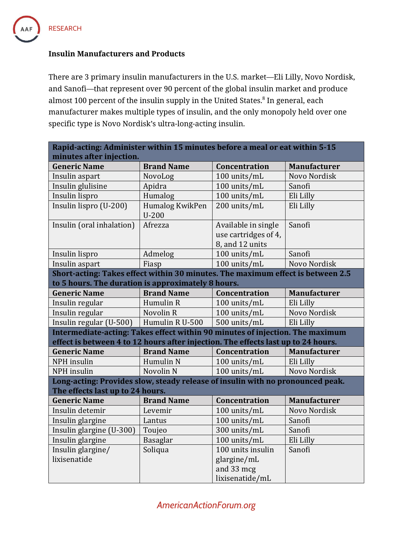

#### **Insulin Manufacturers and Products**

There are 3 primary insulin manufacturers in the U.S. market—Eli Lilly, Novo Nordisk, and Sanofi—that represent over 90 percent of the global insulin market and produce almost 100 percent of the insulin supply in the United States.<sup>8</sup> In general, each manufacturer makes multiple types of insulin, and the only monopoly held over one specific type is Novo Nordisk's ultra-long-acting insulin.

| Rapid-acting: Administer within 15 minutes before a meal or eat within 5-15       |                            |                                                                   |                     |  |  |
|-----------------------------------------------------------------------------------|----------------------------|-------------------------------------------------------------------|---------------------|--|--|
| minutes after injection.                                                          |                            |                                                                   |                     |  |  |
| <b>Generic Name</b>                                                               | <b>Brand Name</b>          | Concentration                                                     | <b>Manufacturer</b> |  |  |
| Insulin aspart                                                                    | NovoLog                    | 100 units/mL                                                      | Novo Nordisk        |  |  |
| Insulin glulisine                                                                 | Apidra                     | 100 units/mL                                                      | Sanofi              |  |  |
| Insulin lispro                                                                    | Humalog                    | 100 units/mL                                                      | Eli Lilly           |  |  |
| Insulin lispro (U-200)                                                            | Humalog KwikPen<br>$U-200$ | 200 units/mL                                                      | Eli Lilly           |  |  |
| Insulin (oral inhalation)                                                         | Afrezza                    | Available in single<br>use cartridges of 4,<br>8, and 12 units    | Sanofi              |  |  |
| Insulin lispro                                                                    | Admelog                    | 100 units/mL                                                      | Sanofi              |  |  |
| Insulin aspart                                                                    | Fiasp                      | 100 units/mL                                                      | Novo Nordisk        |  |  |
| Short-acting: Takes effect within 30 minutes. The maximum effect is between 2.5   |                            |                                                                   |                     |  |  |
| to 5 hours. The duration is approximately 8 hours.                                |                            |                                                                   |                     |  |  |
| <b>Generic Name</b>                                                               | <b>Brand Name</b>          | Concentration                                                     | Manufacturer        |  |  |
| Insulin regular                                                                   | Humulin R                  | 100 units/mL                                                      | Eli Lilly           |  |  |
| Insulin regular                                                                   | Novolin R                  | 100 units/mL                                                      | Novo Nordisk        |  |  |
| Insulin regular (U-500)   Humulin R U-500                                         |                            | 500 units/mL                                                      | Eli Lilly           |  |  |
| Intermediate-acting: Takes effect within 90 minutes of injection. The maximum     |                            |                                                                   |                     |  |  |
| effect is between 4 to 12 hours after injection. The effects last up to 24 hours. |                            |                                                                   |                     |  |  |
| <b>Generic Name</b>                                                               | <b>Brand Name</b>          | Concentration                                                     | <b>Manufacturer</b> |  |  |
| NPH insulin                                                                       | Humulin N                  | 100 units/mL                                                      | Eli Lilly           |  |  |
| NPH insulin                                                                       | Novolin <sub>N</sub>       | 100 units/mL                                                      | Novo Nordisk        |  |  |
| Long-acting: Provides slow, steady release of insulin with no pronounced peak.    |                            |                                                                   |                     |  |  |
| The effects last up to 24 hours.<br><b>Generic Name</b>                           | <b>Brand Name</b>          | Concentration                                                     | <b>Manufacturer</b> |  |  |
| Insulin detemir                                                                   |                            | 100 units/mL                                                      | Novo Nordisk        |  |  |
|                                                                                   | Levemir                    | 100 units/mL                                                      | Sanofi              |  |  |
| Insulin glargine                                                                  | Lantus                     |                                                                   |                     |  |  |
| Insulin glargine (U-300)                                                          | Toujeo                     | 300 units/mL                                                      | Sanofi              |  |  |
| Insulin glargine                                                                  | <b>Basaglar</b>            | 100 units/mL                                                      | Eli Lilly           |  |  |
| Insulin glargine/<br>lixisenatide                                                 | Soliqua                    | 100 units insulin<br>glargine/mL<br>and 33 mcg<br>lixisenatide/mL | Sanofi              |  |  |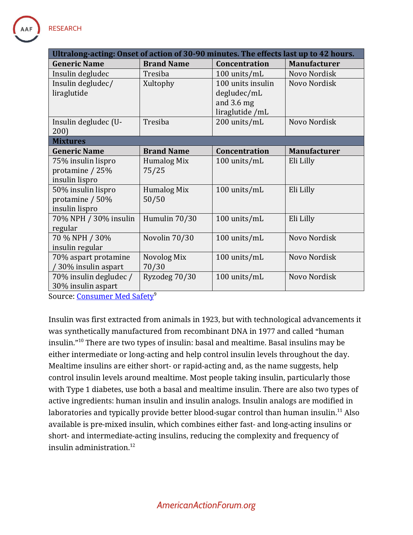

| Ultralong-acting: Onset of action of 30-90 minutes. The effects last up to 42 hours. |                    |                      |                     |  |
|--------------------------------------------------------------------------------------|--------------------|----------------------|---------------------|--|
| <b>Generic Name</b>                                                                  | <b>Brand Name</b>  | <b>Concentration</b> | <b>Manufacturer</b> |  |
| Insulin degludec                                                                     | Tresiba            | 100 units/mL         | Novo Nordisk        |  |
| Insulin degludec/                                                                    | Xultophy           | 100 units insulin    | Novo Nordisk        |  |
| liraglutide                                                                          |                    | degludec/mL          |                     |  |
|                                                                                      |                    | and $3.6$ mg         |                     |  |
|                                                                                      |                    | liraglutide /mL      |                     |  |
| Insulin degludec (U-                                                                 | Tresiba            | 200 units/mL         | Novo Nordisk        |  |
| 200)                                                                                 |                    |                      |                     |  |
| <b>Mixtures</b>                                                                      |                    |                      |                     |  |
| <b>Generic Name</b>                                                                  | <b>Brand Name</b>  | Concentration        | <b>Manufacturer</b> |  |
| 75% insulin lispro                                                                   | Humalog Mix        | 100 units/mL         | Eli Lilly           |  |
| protamine / 25%                                                                      | 75/25              |                      |                     |  |
| insulin lispro                                                                       |                    |                      |                     |  |
| 50% insulin lispro                                                                   | <b>Humalog Mix</b> | 100 units/mL         | Eli Lilly           |  |
| protamine / 50%                                                                      | 50/50              |                      |                     |  |
| insulin lispro                                                                       |                    |                      |                     |  |
| 70% NPH / 30% insulin                                                                | Humulin 70/30      | 100 units/mL         | Eli Lilly           |  |
| regular                                                                              |                    |                      |                     |  |
| 70 % NPH / 30%                                                                       | Novolin 70/30      | 100 units/mL         | Novo Nordisk        |  |
| insulin regular                                                                      |                    |                      |                     |  |
| 70% aspart protamine                                                                 | Novolog Mix        | 100 units/mL         | Novo Nordisk        |  |
| 30% insulin aspart                                                                   | 70/30              |                      |                     |  |
| 70% insulin degludec /                                                               | Ryzodeg 70/30      | 100 units/mL         | Novo Nordisk        |  |
| 30% insulin aspart                                                                   |                    |                      |                     |  |

Source: [Consumer Med Safety](https://consumermedsafety.org/insulin-safety-center/item/418)<sup>9</sup>

Insulin was first extracted from animals in 1923, but with technological advancements it was synthetically manufactured from recombinant DNA in 1977 and called "human insulin."<sup>10</sup> There are two types of insulin: basal and mealtime. Basal insulins may be either intermediate or long-acting and help control insulin levels throughout the day. Mealtime insulins are either short- or rapid-acting and, as the name suggests, help control insulin levels around mealtime. Most people taking insulin, particularly those with Type 1 diabetes, use both a basal and mealtime insulin. There are also two types of active ingredients: human insulin and insulin analogs. Insulin analogs are modified in laboratories and typically provide better blood-sugar control than human insulin.<sup>11</sup> Also available is pre-mixed insulin, which combines either fast- and long-acting insulins or short- and intermediate-acting insulins, reducing the complexity and frequency of insulin administration.<sup>12</sup>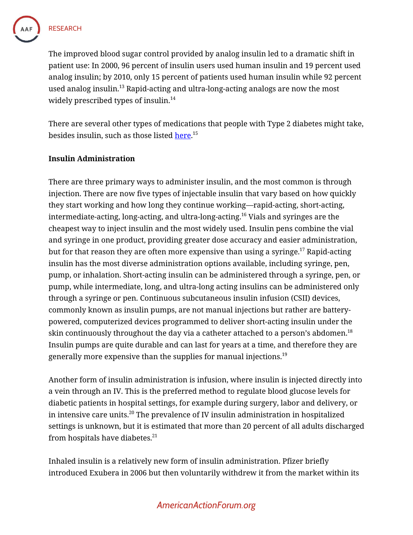

The improved blood sugar control provided by analog insulin led to a dramatic shift in patient use: In 2000, 96 percent of insulin users used human insulin and 19 percent used analog insulin; by 2010, only 15 percent of patients used human insulin while 92 percent used analog insulin.<sup>13</sup> Rapid-acting and ultra-long-acting analogs are now the most widely prescribed types of insulin.<sup>14</sup>

There are several other types of medications that people with Type 2 diabetes might take, besides insulin, such as those listed <u>here</u>.<sup>15</sup>

#### **Insulin Administration**

There are three primary ways to administer insulin, and the most common is through injection. There are now five types of injectable insulin that vary based on how quickly they start working and how long they continue working—rapid-acting, short-acting, intermediate-acting, long-acting, and ultra-long-acting.<sup>16</sup> Vials and syringes are the cheapest way to inject insulin and the most widely used. Insulin pens combine the vial and syringe in one product, providing greater dose accuracy and easier administration, but for that reason they are often more expensive than using a syringe.<sup>17</sup> Rapid-acting insulin has the most diverse administration options available, including syringe, pen, pump, or inhalation. Short-acting insulin can be administered through a syringe, pen, or pump, while intermediate, long, and ultra-long acting insulins can be administered only through a syringe or pen. Continuous subcutaneous insulin infusion (CSII) devices, commonly known as insulin pumps, are not manual injections but rather are batterypowered, computerized devices programmed to deliver short-acting insulin under the skin continuously throughout the day via a catheter attached to a person's abdomen. $^{\rm 18}$ Insulin pumps are quite durable and can last for years at a time, and therefore they are generally more expensive than the supplies for manual injections.<sup>19</sup>

Another form of insulin administration is infusion, where insulin is injected directly into a vein through an IV. This is the preferred method to regulate blood glucose levels for diabetic patients in hospital settings, for example during surgery, labor and delivery, or in intensive care units.<sup>20</sup> The prevalence of IV insulin administration in hospitalized settings is unknown, but it is estimated that more than 20 percent of all adults discharged from hospitals have diabetes.<sup>21</sup>

Inhaled insulin is a relatively new form of insulin administration. Pfizer briefly introduced Exubera in 2006 but then voluntarily withdrew it from the market within its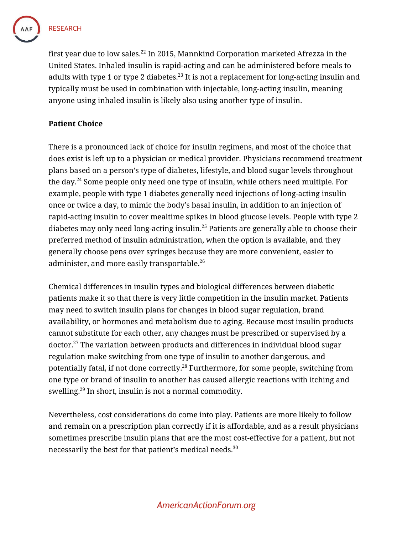

first year due to low sales.<sup>22</sup> In 2015, Mannkind Corporation marketed Afrezza in the United States. Inhaled insulin is rapid-acting and can be administered before meals to adults with type 1 or type 2 diabetes.<sup>23</sup> It is not a replacement for long-acting insulin and typically must be used in combination with injectable, long-acting insulin, meaning anyone using inhaled insulin is likely also using another type of insulin.

### **Patient Choice**

There is a pronounced lack of choice for insulin regimens, and most of the choice that does exist is left up to a physician or medical provider. Physicians recommend treatment plans based on a person's type of diabetes, lifestyle, and blood sugar levels throughout the day. <sup>24</sup> Some people only need one type of insulin, while others need multiple. For example, people with type 1 diabetes generally need injections of long-acting insulin once or twice a day, to mimic the body's basal insulin, in addition to an injection of rapid-acting insulin to cover mealtime spikes in blood glucose levels. People with type 2 diabetes may only need long-acting insulin.<sup>25</sup> Patients are generally able to choose their preferred method of insulin administration, when the option is available, and they generally choose pens over syringes because they are more convenient, easier to administer, and more easily transportable.<sup>26</sup>

Chemical differences in insulin types and biological differences between diabetic patients make it so that there is very little competition in the insulin market. Patients may need to switch insulin plans for changes in blood sugar regulation, brand availability, or hormones and metabolism due to aging. Because most insulin products cannot substitute for each other, any changes must be prescribed or supervised by a doctor.<sup>27</sup> The variation between products and differences in individual blood sugar regulation make switching from one type of insulin to another dangerous, and potentially fatal, if not done correctly.<sup>28</sup> Furthermore, for some people, switching from one type or brand of insulin to another has caused allergic reactions with itching and swelling.<sup>29</sup> In short, insulin is not a normal commodity.

Nevertheless, cost considerations do come into play. Patients are more likely to follow and remain on a prescription plan correctly if it is affordable, and as a result physicians sometimes prescribe insulin plans that are the most cost-effective for a patient, but not necessarily the best for that patient's medical needs.<sup>30</sup>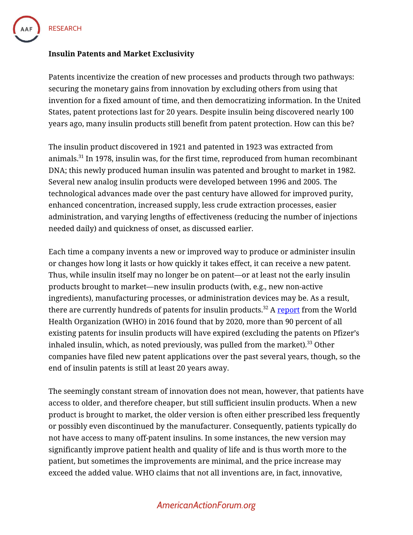

#### **Insulin Patents and Market Exclusivity**

Patents incentivize the creation of new processes and products through two pathways: securing the monetary gains from innovation by excluding others from using that invention for a fixed amount of time, and then democratizing information. In the United States, patent protections last for 20 years. Despite insulin being discovered nearly 100 years ago, many insulin products still benefit from patent protection. How can this be?

The insulin product discovered in 1921 and patented in 1923 was extracted from animals.<sup>31</sup> In 1978, insulin was, for the first time, reproduced from human recombinant DNA; this newly produced human insulin was patented and brought to market in 1982. Several new analog insulin products were developed between 1996 and 2005. The technological advances made over the past century have allowed for improved purity, enhanced concentration, increased supply, less crude extraction processes, easier administration, and varying lengths of effectiveness (reducing the number of injections needed daily) and quickness of onset, as discussed earlier.

Each time a company invents a new or improved way to produce or administer insulin or changes how long it lasts or how quickly it takes effect, it can receive a new patent. Thus, while insulin itself may no longer be on patent—or at least not the early insulin products brought to market—new insulin products (with, e.g., new non-active ingredients), manufacturing processes, or administration devices may be. As a result, there are currently hundreds of patents for insulin products.<sup>32</sup> A [report](https://apps.who.int/medicinedocs/documents/s22481en/s22481en.pdf) from the World Health Organization (WHO) in 2016 found that by 2020, more than 90 percent of all existing patents for insulin products will have expired (excluding the patents on Pfizer's inhaled insulin, which, as noted previously, was pulled from the market).<sup>33</sup> Other companies have filed new patent applications over the past several years, though, so the end of insulin patents is still at least 20 years away.

The seemingly constant stream of innovation does not mean, however, that patients have access to older, and therefore cheaper, but still sufficient insulin products. When a new product is brought to market, the older version is often either prescribed less frequently or possibly even discontinued by the manufacturer. Consequently, patients typically do not have access to many off-patent insulins. In some instances, the new version may significantly improve patient health and quality of life and is thus worth more to the patient, but sometimes the improvements are minimal, and the price increase may exceed the added value. WHO claims that not all inventions are, in fact, innovative,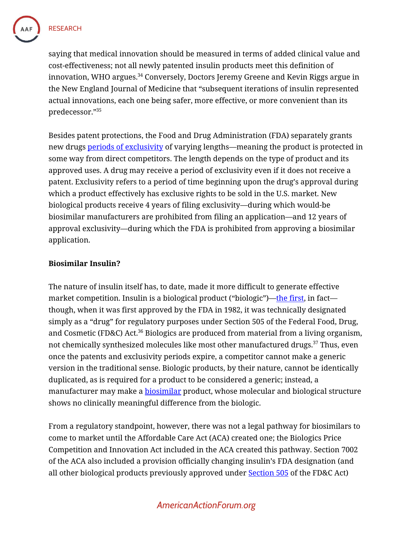

**RESEARCH** 

saying that medical innovation should be measured in terms of added clinical value and cost-effectiveness; not all newly patented insulin products meet this definition of innovation, WHO argues. <sup>34</sup> Conversely, Doctors Jeremy Greene and Kevin Riggs argue in the New England Journal of Medicine that "subsequent iterations of insulin represented actual innovations, each one being safer, more effective, or more convenient than its predecessor."<sup>35</sup>

Besides patent protections, the Food and Drug Administration (FDA) separately grants new drugs [periods of exclusivity](https://www.fda.gov/media/111069/download) of varying lengths—meaning the product is protected in some way from direct competitors. The length depends on the type of product and its approved uses. A drug may receive a period of exclusivity even if it does not receive a patent. Exclusivity refers to a period of time beginning upon the drug's approval during which a product effectively has exclusive rights to be sold in the U.S. market. New biological products receive 4 years of filing exclusivity—during which would-be biosimilar manufacturers are prohibited from filing an application—and 12 years of approval exclusivity—during which the FDA is prohibited from approving a biosimilar application.

#### **Biosimilar Insulin?**

The nature of insulin itself has, to date, made it more difficult to generate effective market competition. Insulin is a biological product ("biologic")—[the first,](https://www.biosimilarsresourcecenter.org/faq/what-are-biologics/) in fact though, when it was first approved by the FDA in 1982, it was technically designated simply as a "drug" for regulatory purposes under Section 505 of the Federal Food, Drug, and Cosmetic (FD&C) Act.<sup>36</sup> Biologics are produced from material from a living organism, not chemically synthesized molecules like most other manufactured drugs.<sup>37</sup> Thus, even once the patents and exclusivity periods expire, a competitor cannot make a generic version in the traditional sense. Biologic products, by their nature, cannot be identically duplicated, as is required for a product to be considered a generic; instead, a manufacturer may make a **[biosimilar](https://www.americanactionforum.org/insight/the-inconsistent-treatment-of-biosimilars-in-medicare-and-medicaid/)** product, whose molecular and biological structure shows no clinically meaningful difference from the biologic.

From a regulatory standpoint, however, there was not a legal pathway for biosimilars to come to market until the Affordable Care Act (ACA) created one; the Biologics Price Competition and Innovation Act included in the ACA created this pathway. Section 7002 of the ACA also included a provision officially changing insulin's FDA designation (and all other biological products previously approved under [Section 505](https://legcounsel.house.gov/Comps/Federal%20Food,%20Drug,%20And%20Cosmetic%20Act.pdf) of the FD&C Act)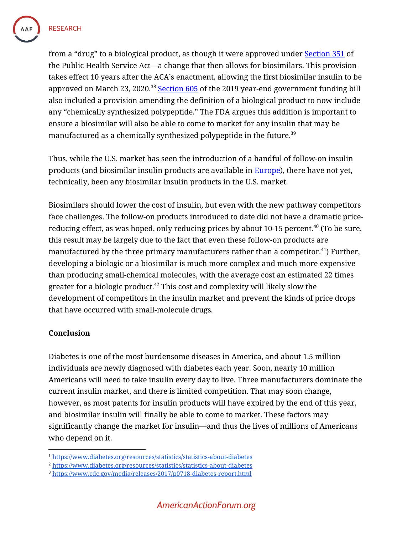

from a "drug" to a biological product, as though it were approved under **Section 351** of the Public Health Service Act—a change that then allows for biosimilars. This provision takes effect 10 years after the ACA's enactment, allowing the first biosimilar insulin to be approved on March 23, 2020.<sup>38</sup> Section  $605$  of the 2019 year-end government funding bill also included a provision amending the definition of a biological product to now include any "chemically synthesized polypeptide." The FDA argues this addition is important to ensure a biosimilar will also be able to come to market for any insulin that may be manufactured as a chemically synthesized polypeptide in the future. $^{\rm 39}$ 

Thus, while the U.S. market has seen the introduction of a handful of follow-on insulin products (and biosimilar insulin products are available in **Europe**), there have not yet, technically, been any biosimilar insulin products in the U.S. market.

Biosimilars should lower the cost of insulin, but even with the new pathway competitors face challenges. The follow-on products introduced to date did not have a dramatic pricereducing effect, as was hoped, only reducing prices by about 10-15 percent.<sup>40</sup> (To be sure, this result may be largely due to the fact that even these follow-on products are manufactured by the three primary manufacturers rather than a competitor.<sup>41</sup>) Further, developing a biologic or a biosimilar is much more complex and much more expensive than producing small-chemical molecules, with the average cost an estimated 22 times greater for a biologic product. $42$  This cost and complexity will likely slow the development of competitors in the insulin market and prevent the kinds of price drops that have occurred with small-molecule drugs.

## **Conclusion**

Diabetes is one of the most burdensome diseases in America, and about 1.5 million individuals are newly diagnosed with diabetes each year. Soon, nearly 10 million Americans will need to take insulin every day to live. Three manufacturers dominate the current insulin market, and there is limited competition. That may soon change, however, as most patents for insulin products will have expired by the end of this year, and biosimilar insulin will finally be able to come to market. These factors may significantly change the market for insulin—and thus the lives of millions of Americans who depend on it.

<sup>1</sup> <https://www.diabetes.org/resources/statistics/statistics-about-diabetes>

<sup>2</sup> <https://www.diabetes.org/resources/statistics/statistics-about-diabetes>

<sup>3</sup> <https://www.cdc.gov/media/releases/2017/p0718-diabetes-report.html>